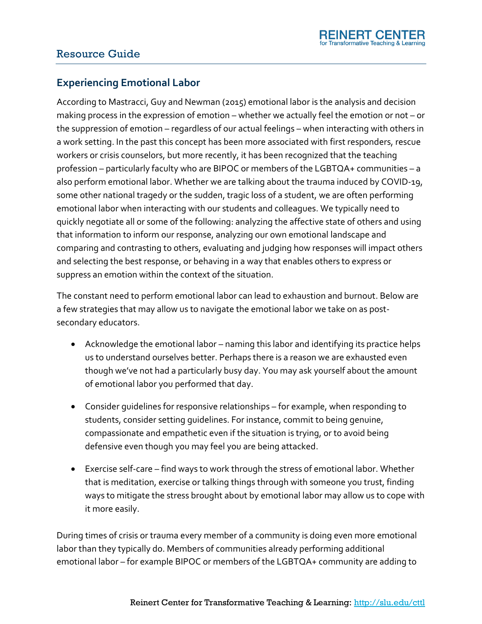## Resource Guide

## **Experiencing Emotional Labor**

According to Mastracci, Guy and Newman (2015) emotional labor is the analysis and decision making process in the expression of emotion – whether we actually feel the emotion or not – or the suppression of emotion – regardless of our actual feelings – when interacting with others in a work setting. In the past this concept has been more associated with first responders, rescue workers or crisis counselors, but more recently, it has been recognized that the teaching profession – particularly faculty who are BIPOC or members of the LGBTQA+ communities – a also perform emotional labor. Whether we are talking about the trauma induced by COVID-19, some other national tragedy or the sudden, tragic loss of a student, we are often performing emotional labor when interacting with our students and colleagues. We typically need to quickly negotiate all or some of the following: analyzing the affective state of others and using that information to inform our response, analyzing our own emotional landscape and comparing and contrasting to others, evaluating and judging how responses will impact others and selecting the best response, or behaving in a way that enables others to express or suppress an emotion within the context of the situation.

The constant need to perform emotional labor can lead to exhaustion and burnout. Below are a few strategies that may allow us to navigate the emotional labor we take on as postsecondary educators.

- Acknowledge the emotional labor naming this labor and identifying its practice helps us to understand ourselves better. Perhaps there is a reason we are exhausted even though we've not had a particularly busy day. You may ask yourself about the amount of emotional labor you performed that day.
- Consider guidelines for responsive relationships for example, when responding to students, consider setting guidelines. For instance, commit to being genuine, compassionate and empathetic even if the situation is trying, or to avoid being defensive even though you may feel you are being attacked.
- Exercise self-care find ways to work through the stress of emotional labor. Whether that is meditation, exercise or talking things through with someone you trust, finding ways to mitigate the stress brought about by emotional labor may allow us to cope with it more easily.

During times of crisis or trauma every member of a community is doing even more emotional labor than they typically do. Members of communities already performing additional emotional labor – for example BIPOC or members of the LGBTQA+ community are adding to